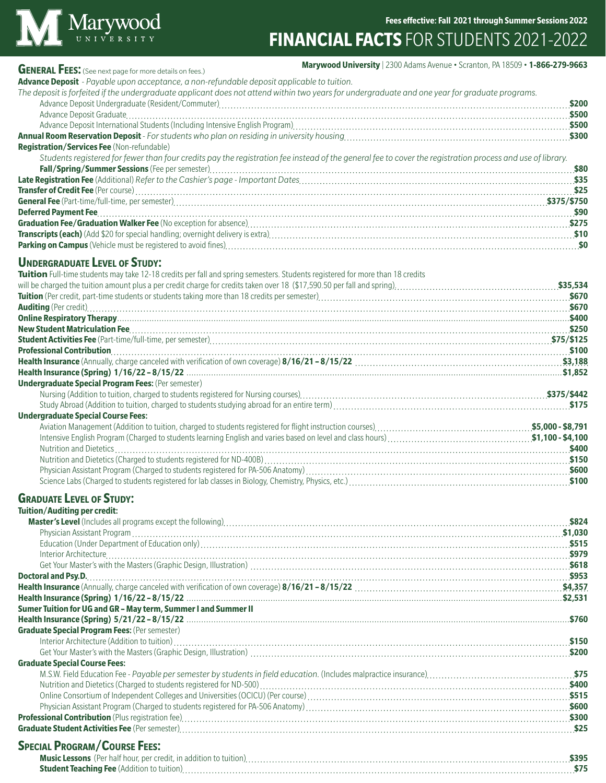# **FINANCIAL FACTS** FOR STUDENTS 2021-2022

| <b>GENERAL FEES:</b> (See next page for more details on fees.)                                                                                 | Marywood University   2300 Adams Avenue · Scranton, PA 18509 · 1-866-279-9663                                                                                                                                                 |
|------------------------------------------------------------------------------------------------------------------------------------------------|-------------------------------------------------------------------------------------------------------------------------------------------------------------------------------------------------------------------------------|
| Advance Deposit - Payable upon acceptance, a non-refundable deposit applicable to tuition.                                                     |                                                                                                                                                                                                                               |
| The deposit is forfeited if the undergraduate applicant does not attend within two years for undergraduate and one year for graduate programs. |                                                                                                                                                                                                                               |
|                                                                                                                                                |                                                                                                                                                                                                                               |
|                                                                                                                                                |                                                                                                                                                                                                                               |
|                                                                                                                                                |                                                                                                                                                                                                                               |
|                                                                                                                                                |                                                                                                                                                                                                                               |
| Registration/Services Fee (Non-refundable)                                                                                                     |                                                                                                                                                                                                                               |
|                                                                                                                                                | Students registered for fewer than four credits pay the registration fee instead of the general fee to cover the registration process and use of library.                                                                     |
|                                                                                                                                                |                                                                                                                                                                                                                               |
|                                                                                                                                                |                                                                                                                                                                                                                               |
|                                                                                                                                                |                                                                                                                                                                                                                               |
|                                                                                                                                                |                                                                                                                                                                                                                               |
|                                                                                                                                                |                                                                                                                                                                                                                               |
|                                                                                                                                                |                                                                                                                                                                                                                               |
|                                                                                                                                                |                                                                                                                                                                                                                               |
|                                                                                                                                                |                                                                                                                                                                                                                               |
| <b>UNDERGRADUATE LEVEL OF STUDY:</b>                                                                                                           |                                                                                                                                                                                                                               |
| Tuition Full-time students may take 12-18 credits per fall and spring semesters. Students registered for more than 18 credits                  |                                                                                                                                                                                                                               |
|                                                                                                                                                |                                                                                                                                                                                                                               |
|                                                                                                                                                |                                                                                                                                                                                                                               |
|                                                                                                                                                |                                                                                                                                                                                                                               |
|                                                                                                                                                | New Student Matriculation Fee encourance and the control and the control of the state of the state of the state of the state of the state state state state state state state state state state state state state state state |
|                                                                                                                                                |                                                                                                                                                                                                                               |
| <b>Professional Contribution</b>                                                                                                               |                                                                                                                                                                                                                               |
|                                                                                                                                                |                                                                                                                                                                                                                               |
|                                                                                                                                                |                                                                                                                                                                                                                               |
| <b>Undergraduate Special Program Fees: (Per semester)</b>                                                                                      |                                                                                                                                                                                                                               |
|                                                                                                                                                |                                                                                                                                                                                                                               |
|                                                                                                                                                |                                                                                                                                                                                                                               |
| <b>Undergraduate Special Course Fees:</b>                                                                                                      |                                                                                                                                                                                                                               |
|                                                                                                                                                |                                                                                                                                                                                                                               |
|                                                                                                                                                |                                                                                                                                                                                                                               |
|                                                                                                                                                |                                                                                                                                                                                                                               |
|                                                                                                                                                |                                                                                                                                                                                                                               |
|                                                                                                                                                |                                                                                                                                                                                                                               |
|                                                                                                                                                |                                                                                                                                                                                                                               |
| <b>GRADUATE LEVEL OF STUDY:</b>                                                                                                                |                                                                                                                                                                                                                               |
| <b>Tuition/Auditing per credit:</b>                                                                                                            |                                                                                                                                                                                                                               |
|                                                                                                                                                |                                                                                                                                                                                                                               |
|                                                                                                                                                |                                                                                                                                                                                                                               |
|                                                                                                                                                |                                                                                                                                                                                                                               |
|                                                                                                                                                |                                                                                                                                                                                                                               |
|                                                                                                                                                |                                                                                                                                                                                                                               |
|                                                                                                                                                |                                                                                                                                                                                                                               |
|                                                                                                                                                |                                                                                                                                                                                                                               |
| Sumer Tuition for UG and GR - May term, Summer I and Summer II                                                                                 |                                                                                                                                                                                                                               |
|                                                                                                                                                |                                                                                                                                                                                                                               |
| <b>Graduate Special Program Fees: (Per semester)</b>                                                                                           |                                                                                                                                                                                                                               |
|                                                                                                                                                |                                                                                                                                                                                                                               |
|                                                                                                                                                |                                                                                                                                                                                                                               |
| <b>Graduate Special Course Fees:</b>                                                                                                           |                                                                                                                                                                                                                               |
|                                                                                                                                                |                                                                                                                                                                                                                               |
|                                                                                                                                                |                                                                                                                                                                                                                               |
|                                                                                                                                                |                                                                                                                                                                                                                               |
|                                                                                                                                                |                                                                                                                                                                                                                               |
|                                                                                                                                                |                                                                                                                                                                                                                               |
|                                                                                                                                                |                                                                                                                                                                                                                               |

# **Special Program/Course Fees:**

| <b>Music Lessons</b> (Per half hour, per credit, in addition to tuition) |  |
|--------------------------------------------------------------------------|--|
| <b>Student Teaching Fee</b> (Addition to tuition)                        |  |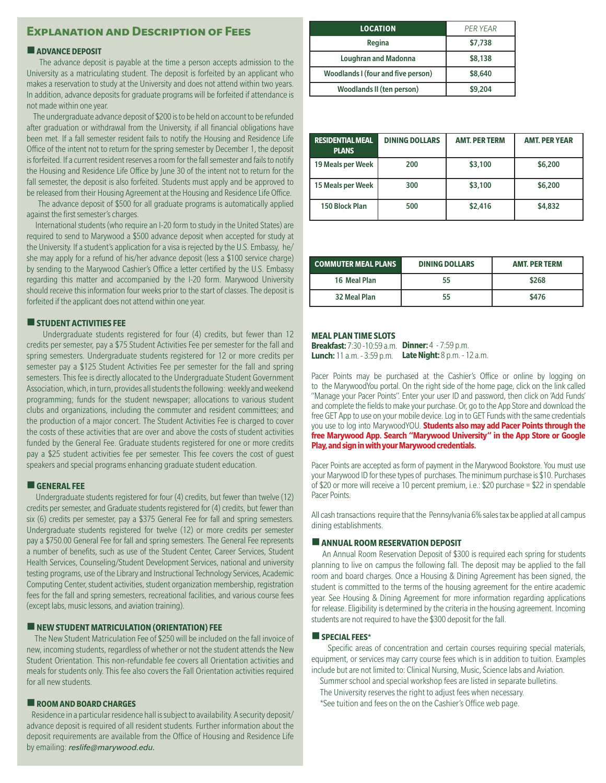# **Explanation and Description of Fees**

# **NADVANCE DEPOSIT**

 The advance deposit is payable at the time a person accepts admission to the University as a matriculating student. The deposit is forfeited by an applicant who makes a reservation to study at the University and does not attend within two years. In addition, advance deposits for graduate programs will be forfeited if attendance is not made within one year.

 The undergraduate advance deposit of \$200 is to be held on account to be refunded after graduation or withdrawal from the University, if all financial obligations have been met. If a fall semester resident fails to notify the Housing and Residence Life Office of the intent not to return for the spring semester by December 1, the deposit is forfeited. If a current resident reserves a room for the fall semester and fails to notify the Housing and Residence Life Office by June 30 of the intent not to return for the fall semester, the deposit is also forfeited. Students must apply and be approved to be released from their Housing Agreement at the Housing and Residence Life Office.

 The advance deposit of \$500 for all graduate programs is automatically applied against the first semester's charges.

 International students (who require an I-20 form to study in the United States) are required to send to Marywood a \$500 advance deposit when accepted for study at the University. If a student's application for a visa is rejected by the U.S. Embassy, he/ she may apply for a refund of his/her advance deposit (less a \$100 service charge) by sending to the Marywood Cashier's Office a letter certified by the U.S. Embassy regarding this matter and accompanied by the I-20 form. Marywood University should receive this information four weeks prior to the start of classes. The deposit is forfeited if the applicant does not attend within one year.

# $\blacksquare$  **STUDENT ACTIVITIES FEE**

 Undergraduate students registered for four (4) credits, but fewer than 12 credits per semester, pay a \$75 Student Activities Fee per semester for the fall and spring semesters. Undergraduate students registered for 12 or more credits per semester pay a \$125 Student Activities Fee per semester for the fall and spring semesters. This fee is directly allocated to the Undergraduate Student Government Association, which, in turn, provides all students the following: weekly and weekend programming; funds for the student newspaper; allocations to various student clubs and organizations, including the commuter and resident committees; and the production of a major concert. The Student Activities Fee is charged to cover the costs of these activities that are over and above the costs of student activities funded by the General Fee. Graduate students registered for one or more credits pay a \$25 student activities fee per semester. This fee covers the cost of guest speakers and special programs enhancing graduate student education.

## $\blacksquare$  **GENERAL FEE**

 Undergraduate students registered for four (4) credits, but fewer than twelve (12) credits per semester, and Graduate students registered for (4) credits, but fewer than six (6) credits per semester, pay a \$375 General Fee for fall and spring semesters. Undergraduate students registered for twelve (12) or more credits per semester pay a \$750.00 General Fee for fall and spring semesters. The General Fee represents a number of benefits, such as use of the Student Center, Career Services, Student Health Services, Counseling/Student Development Services, national and university testing programs, use of the Library and Instructional Technology Services, Academic Computing Center, student activities, student organization membership, registration fees for the fall and spring semesters, recreational facilities, and various course fees (except labs, music lessons, and aviation training).

# **NEW STUDENT MATRICULATION (ORIENTATION) FEE**

 The New Student Matriculation Fee of \$250 will be included on the fall invoice of new, incoming students, regardless of whether or not the student attends the New Student Orientation. This non-refundable fee covers all Orientation activities and meals for students only. This fee also covers the Fall Orientation activities required for all new students.

# **NROOM AND BOARD CHARGES**

 Residence in a particular residence hall is subject to availability. A security deposit/ advance deposit is required of all resident students. Further information about the deposit requirements are available from the Office of Housing and Residence Life by emailing: reslife@marywood.edu.

| <b>LOCATION</b>                    | <b>PER YEAR</b> |
|------------------------------------|-----------------|
| Regina                             | \$7,738         |
| <b>Loughran and Madonna</b>        | \$8,138         |
| Woodlands I (four and five person) | \$8,640         |
| <b>Woodlands II (ten person)</b>   | \$9,204         |

| <b>RESIDENTIAL MEAL</b><br><b>PLANS</b> | <b>DINING DOLLARS</b> | <b>AMT. PER TERM</b> | <b>AMT. PER YEAR</b> |
|-----------------------------------------|-----------------------|----------------------|----------------------|
| 19 Meals per Week                       | 200                   | \$3,100              | \$6,200              |
| 15 Meals per Week                       | 300                   | \$3,100              | \$6,200              |
| 150 Block Plan                          | 500                   | \$2,416              | \$4,832              |

| COMMUTER MEAL PLANS | <b>DINING DOLLARS</b> | <b>AMT. PER TERM</b> |
|---------------------|-----------------------|----------------------|
| 16 Meal Plan        | 55                    | \$268                |
| 32 Meal Plan        | 55                    | \$476                |

#### **MEAL PLAN TIME SLOTS**

**Breakfast:** 7:30 -10:59 a.m. **Dinner:** 4 - 7:59 p.m. **Lunch:** 11 a.m. - 3:59 p.m. **Late Night:** 8 p.m. - 12 a.m.

Pacer Points may be purchased at the Cashier's Office or online by logging on to the MarywoodYou portal. On the right side of the home page, click on the link called "Manage your Pacer Points". Enter your user ID and password, then click on 'Add Funds' and complete the fields to make your purchase. Or, go to the App Store and download the free GET App to use on your mobile device. Log in to GET Funds with the same credentials you use to log into MarywoodYOU. **Students also may add Pacer Points through the free Marywood App. Search "Marywood University" in the App Store or Google Play, and sign in with your Marywood credentials.**

Pacer Points are accepted as form of payment in the Marywood Bookstore. You must use your Marywood ID for these types of purchases. The minimum purchase is \$10. Purchases of \$20 or more will receive a 10 percent premium, i.e.: \$20 purchase = \$22 in spendable Pacer Points.

All cash transactions require that the Pennsylvania 6% sales tax be applied at all campus dining establishments.

# $\blacksquare$  **ANNUAL ROOM RESERVATION DEPOSIT**

 An Annual Room Reservation Deposit of \$300 is required each spring for students planning to live on campus the following fall. The deposit may be applied to the fall room and board charges. Once a Housing & Dining Agreement has been signed, the student is committed to the terms of the housing agreement for the entire academic year. See Housing & Dining Agreement for more information regarding applications for release. Eligibility is determined by the criteria in the housing agreement. Incoming students are not required to have the \$300 deposit for the fall.

# n**SPECIAL FEES\***

 Specific areas of concentration and certain courses requiring special materials, equipment, or services may carry course fees which is in addition to tuition. Examples include but are not limited to: Clinical Nursing, Music, Science labs and Aviation.

- Summer school and special workshop fees are listed in separate bulletins.
- The University reserves the right to adjust fees when necessary.
- \*See tuition and fees on the on the Cashier's Office web page.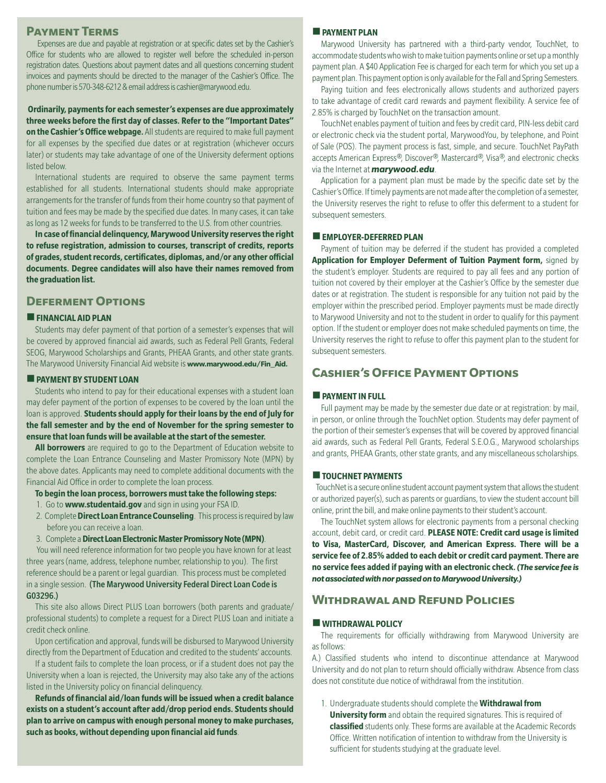# **Payment Terms**

Expenses are due and payable at registration or at specific dates set by the Cashier's Office for students who are allowed to register well before the scheduled in-person registration dates. Questions about payment dates and all questions concerning student invoices and payments should be directed to the manager of the Cashier's Office. The phone number is 570-348-6212 & email address is cashier@marywood.edu.

**Ordinarily, payments for each semester's expenses are due approximately three weeks before the first day of classes. Refer to the "Important Dates" on the Cashier's Office webpage.** All students are required to make full payment for all expenses by the specified due dates or at registration (whichever occurs later) or students may take advantage of one of the University deferment options listed below.

International students are required to observe the same payment terms established for all students. International students should make appropriate arrangements for the transfer of funds from their home country so that payment of tuition and fees may be made by the specified due dates. In many cases, it can take as long as 12 weeks for funds to be transferred to the U.S. from other countries.

**In case of financial delinquency, Marywood University reserves the right to refuse registration, admission to courses, transcript of credits, reports of grades, student records, certificates, diplomas, and/or any other official documents. Degree candidates will also have their names removed from the graduation list.**

# **Deferment Options**

# **FINANCIAL AID PLAN**

Students may defer payment of that portion of a semester's expenses that will be covered by approved financial aid awards, such as Federal Pell Grants, Federal SEOG, Marywood Scholarships and Grants, PHEAA Grants, and other state grants. The Marywood University Financial Aid website is **www.marywood.edu/Fin\_Aid.**

#### **PAYMENT BY STUDENT LOAN**

Students who intend to pay for their educational expenses with a student loan may defer payment of the portion of expenses to be covered by the loan until the loan is approved. **Students should apply for their loans by the end of July for the fall semester and by the end of November for the spring semester to ensure that loan funds will be available at the start of the semester.**

**All borrowers** are required to go to the Department of Education website to complete the Loan Entrance Counseling and Master Promissory Note (MPN) by the above dates. Applicants may need to complete additional documents with the Financial Aid Office in order to complete the loan process.

# **To begin the loan process, borrowers must take the following steps:**

- 1. Go to **www.studentaid.gov** and sign in using your FSA ID.
- 2. Complete **Direct Loan Entrance Counseling**. This process is required by law before you can receive a loan.
- 3. Complete a **Direct Loan Electronic Master Promissory Note (MPN)**.

 You will need reference information for two people you have known for at least three years (name, address, telephone number, relationship to you). The first reference should be a parent or legal guardian. This process must be completed in a single session. (The Marywood University Federal Direct Loan Code is G03296.)

This site also allows Direct PLUS Loan borrowers (both parents and graduate/ professional students) to complete a request for a Direct PLUS Loan and initiate a credit check online.

Upon certification and approval, funds will be disbursed to Marywood University directly from the Department of Education and credited to the students' accounts.

If a student fails to complete the loan process, or if a student does not pay the University when a loan is rejected, the University may also take any of the actions listed in the University policy on financial delinquency.

**Refunds of financial aid/loan funds will be issued when a credit balance exists on a student's account after add/drop period ends. Students should plan to arrive on campus with enough personal money to make purchases, such as books, without depending upon financial aid funds**.

# **PAYMENT PLAN**

Marywood University has partnered with a third-party vendor, TouchNet, to accommodate students who wish to make tuition payments online or set up a monthly payment plan. A \$40 Application Fee is charged for each term for which you set up a payment plan. This payment option is only available for the Fall and Spring Semesters.

Paying tuition and fees electronically allows students and authorized payers to take advantage of credit card rewards and payment flexibility. A service fee of 2.85% is charged by TouchNet on the transaction amount.

TouchNet enables payment of tuition and fees by credit card, PIN-less debit card or electronic check via the student portal, MarywoodYou, by telephone, and Point of Sale (POS). The payment process is fast, simple, and secure. TouchNet PayPath accepts American Express®, Discover®, Mastercard®, Visa®, and electronic checks via the Internet at *marywood.edu*.

Application for a payment plan must be made by the specific date set by the Cashier's Office. If timely payments are not made after the completion of a semester, the University reserves the right to refuse to offer this deferment to a student for subsequent semesters.

### **EMPLOYER-DEFERRED PLAN**

Payment of tuition may be deferred if the student has provided a completed **Application for Employer Deferment of Tuition Payment form,** signed by the student's employer. Students are required to pay all fees and any portion of tuition not covered by their employer at the Cashier's Office by the semester due dates or at registration. The student is responsible for any tuition not paid by the employer within the prescribed period. Employer payments must be made directly to Marywood University and not to the student in order to qualify for this payment option. If the student or employer does not make scheduled payments on time, the University reserves the right to refuse to offer this payment plan to the student for subsequent semesters.

# **Cashier's Office Payment Options**

# **NPAYMENT IN FULL**

Full payment may be made by the semester due date or at registration: by mail, in person, or online through the TouchNet option. Students may defer payment of the portion of their semester's expenses that will be covered by approved financial aid awards, such as Federal Pell Grants, Federal S.E.O.G., Marywood scholarships and grants, PHEAA Grants, other state grants, and any miscellaneous scholarships.

#### **NOUCHNET PAYMENTS**

 TouchNet is a secure online student account payment system that allows the student or authorized payer(s), such as parents or guardians, to view the student account bill online, print the bill, and make online payments to their student's account.

The TouchNet system allows for electronic payments from a personal checking account, debit card, or credit card. **PLEASE NOTE: Credit card usage is limited to Visa, MasterCard, Discover, and American Express. There will be a service fee of 2.85% added to each debit or credit card payment. There are no service fees added if paying with an electronic check.** *(The service fee is not associated with nor passed on to Marywood University.)* 

# **Withdrawal and Refund Policies**

#### **NITHDRAWAL POLICY**

The requirements for officially withdrawing from Marywood University are as follows:

A.) Classified students who intend to discontinue attendance at Marywood University and do not plan to return should officially withdraw. Absence from class does not constitute due notice of withdrawal from the institution.

1. Undergraduate students should complete the **Withdrawal from University form** and obtain the required signatures. This is required of **classified** students only. These forms are available at the Academic Records Office. Written notification of intention to withdraw from the University is sufficient for students studying at the graduate level.